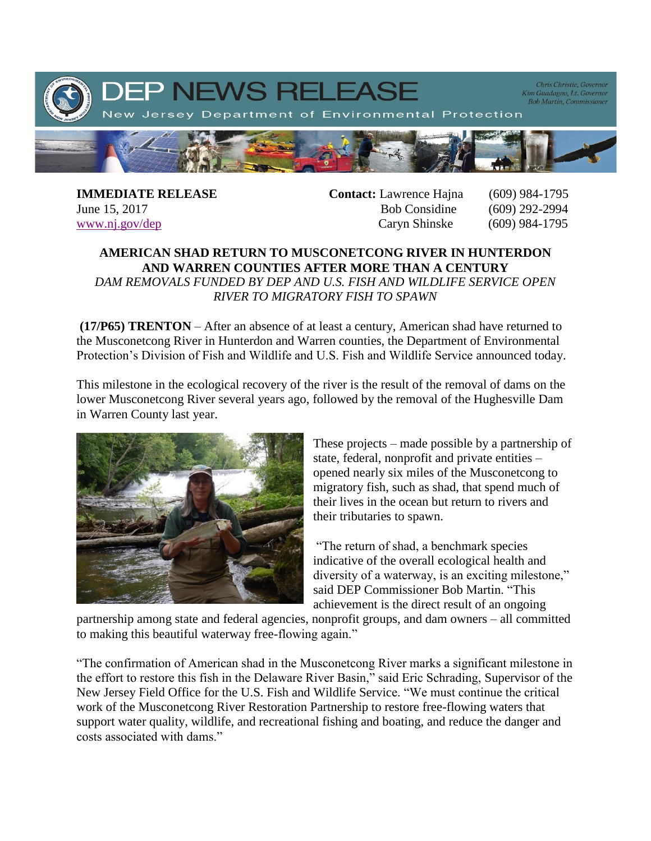

**IMMEDIATE RELEASE Contact:** Lawrence Hajna (609) 984-1795 June 15, 2017 **Bob Considine** (609) 292-2994 [www.nj.gov/dep](http://www.nj.gov/dep) Caryn Shinske (609) 984-1795

## **AMERICAN SHAD RETURN TO MUSCONETCONG RIVER IN HUNTERDON AND WARREN COUNTIES AFTER MORE THAN A CENTURY**

*DAM REMOVALS FUNDED BY DEP AND U.S. FISH AND WILDLIFE SERVICE OPEN RIVER TO MIGRATORY FISH TO SPAWN*

**(17/P65) TRENTON** – After an absence of at least a century, American shad have returned to the Musconetcong River in Hunterdon and Warren counties, the Department of Environmental Protection's Division of Fish and Wildlife and U.S. Fish and Wildlife Service announced today.

This milestone in the ecological recovery of the river is the result of the removal of dams on the lower Musconetcong River several years ago, followed by the removal of the Hughesville Dam in Warren County last year.



These projects – made possible by a partnership of state, federal, nonprofit and private entities – opened nearly six miles of the Musconetcong to migratory fish, such as shad, that spend much of their lives in the ocean but return to rivers and their tributaries to spawn.

"The return of shad, a benchmark species indicative of the overall ecological health and diversity of a waterway, is an exciting milestone," said DEP Commissioner Bob Martin. "This achievement is the direct result of an ongoing

partnership among state and federal agencies, nonprofit groups, and dam owners – all committed to making this beautiful waterway free-flowing again."

"The confirmation of American shad in the Musconetcong River marks a significant milestone in the effort to restore this fish in the Delaware River Basin," said Eric Schrading, Supervisor of the New Jersey Field Office for the U.S. Fish and Wildlife Service. "We must continue the critical work of the Musconetcong River Restoration Partnership to restore free-flowing waters that support water quality, wildlife, and recreational fishing and boating, and reduce the danger and costs associated with dams."